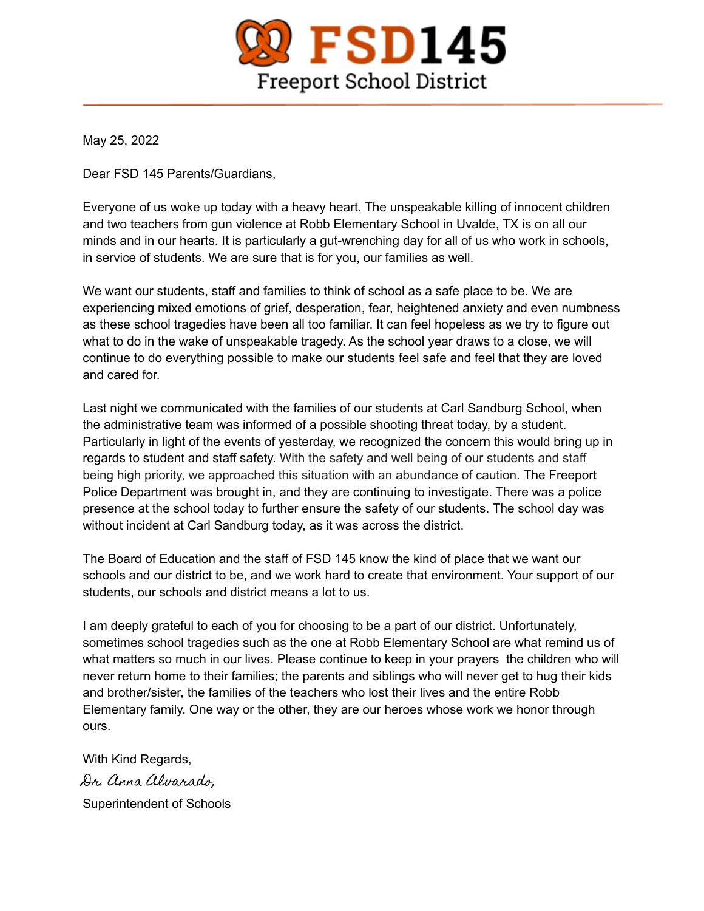

May 25, 2022

Dear FSD 145 Parents/Guardians,

Everyone of us woke up today with a heavy heart. The unspeakable killing of innocent children and two teachers from gun violence at Robb Elementary School in Uvalde, TX is on all our minds and in our hearts. It is particularly a gut-wrenching day for all of us who work in schools, in service of students. We are sure that is for you, our families as well.

We want our students, staff and families to think of school as a safe place to be. We are experiencing mixed emotions of grief, desperation, fear, heightened anxiety and even numbness as these school tragedies have been all too familiar. It can feel hopeless as we try to figure out what to do in the wake of unspeakable tragedy. As the school year draws to a close, we will continue to do everything possible to make our students feel safe and feel that they are loved and cared for.

Last night we communicated with the families of our students at Carl Sandburg School, when the administrative team was informed of a possible shooting threat today, by a student. Particularly in light of the events of yesterday, we recognized the concern this would bring up in regards to student and staff safety. With the safety and well being of our students and staff being high priority, we approached this situation with an abundance of caution. The Freeport Police Department was brought in, and they are continuing to investigate. There was a police presence at the school today to further ensure the safety of our students. The school day was without incident at Carl Sandburg today, as it was across the district.

The Board of Education and the staff of FSD 145 know the kind of place that we want our schools and our district to be, and we work hard to create that environment. Your support of our students, our schools and district means a lot to us.

I am deeply grateful to each of you for choosing to be a part of our district. Unfortunately, sometimes school tragedies such as the one at Robb Elementary School are what remind us of what matters so much in our lives. Please continue to keep in your prayers the children who will never return home to their families; the parents and siblings who will never get to hug their kids and brother/sister, the families of the teachers who lost their lives and the entire Robb Elementary family. One way or the other, they are our heroes whose work we honor through ours.

With Kind Regards, Dr. Anna Alvarado, Superintendent of Schools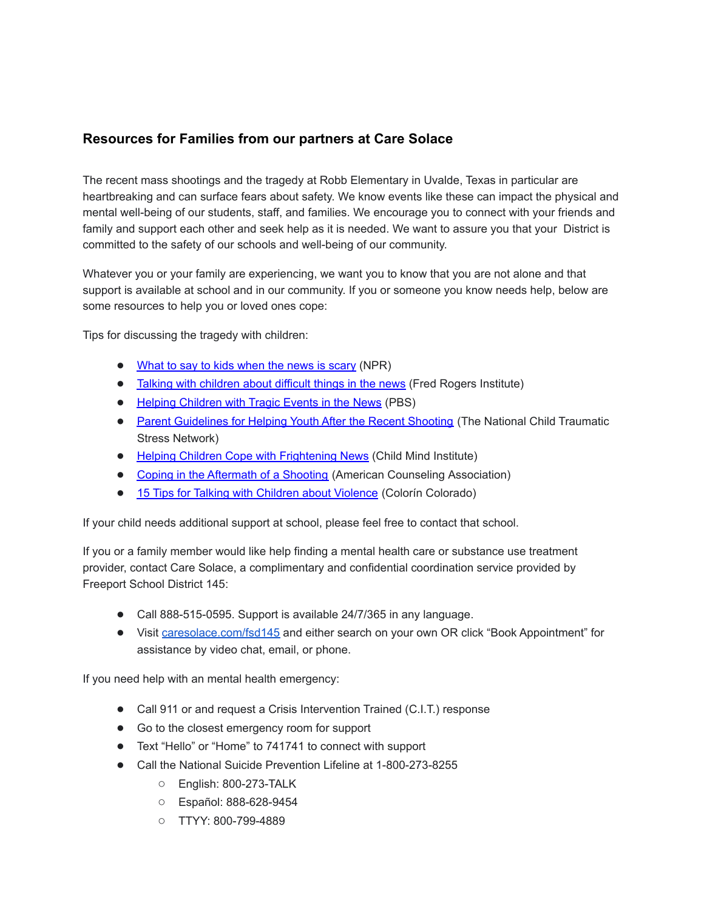## **Resources for Families from our partners at Care Solace**

The recent mass shootings and the tragedy at Robb Elementary in Uvalde, Texas in particular are heartbreaking and can surface fears about safety. We know events like these can impact the physical and mental well-being of our students, staff, and families. We encourage you to connect with your friends and family and support each other and seek help as it is needed. We want to assure you that your District is committed to the safety of our schools and well-being of our community.

Whatever you or your family are experiencing, we want you to know that you are not alone and that support is available at school and in our community. If you or someone you know needs help, below are some resources to help you or loved ones cope:

Tips for discussing the tragedy with children:

- What to say to kids [when](https://czp9h04.na1.hubspotlinks.com/Ctc/RI+113/cZP9h04/VW-DY91Q0L4LN4QS4LhYGPJ8W74N_GZ4Kw6GtN7MjfyQ3q90_V1-WJV7CgB2lW5rmr_46dg5wmVskbdl3N-cBzW57DK7j8b7Pj1W7sLyF147JTjKW7pjL7g7RlZbcN4YtY9zx24NWW2sTCVc6KttCMN2Mjkwg2P4CZW6w0y4c1hpp_MW5YfZzK7tvy4FN2phwN6Zw5KMW6STZ1s8wS7g2W8xBm2y4x9cVJW66J3_L1VsLWyW8JKf098wC8wZW3wQGsh8H7g5wN5zwQxl2ln3dW5rbNw034K08vW35szfv8RQ4N8W8gMWNs2TxWYgW3QwsWD77cDhBW7F73w-6mSKqtV-n7lJ1kVK-dW1CSypK8N4Nj3W5M_fK74pN6MqW9b_zsh4NCzLyW6H1K7t2YTgcpV-FTqL2-8_dCW6kpm0n5RfSJ8W5NysC0251KJJ3ly11) the news is scary (NPR)
- **•** Talking with [children](https://czp9h04.na1.hubspotlinks.com/Ctc/RI+113/cZP9h04/VW-DY91Q0L4LN4QS4LhYGPJ8W74N_GZ4Kw6GtN7MjfyQ3q90_V1-WJV7CgTNJW6--HwK1-BKMFW2yHF6d1dFc--N36WdyJqvGwmW7l9jSf2ZTP3XW1lTnnj4Y9n28W8dWCZY5kbzFfW7pmhBd13vn6YW4Dz85x1LwJzJW1ryZf47bs10CW5jqz5l57MV7NW2HxD665n3fJCW1gDZyB1QLhZDW92S50D77gGJCN7H3YXnfTp8_W3TnGTz64YTQdN2BLvPX1GLNyW1gsx957VwLMSW6fLsLz6B48vpW6lJTPp5466qNW3YQ_Sb4NgrG3W7-3kDn3YV8P7W2dL5Q_8H1tg6W3YqnM061P0-0W47yk_r69q-trW1ScZXZ7kJS9KW16lg8z2LRMHNW8_251L4q1PS7W1q-bl_8yGWkYW7ZJtm95NTjWgW4LFyCw5ycYFV3hFK1) about difficult things in the news (Fred Rogers Institute)
- Helping [Children](https://czp9h04.na1.hubspotlinks.com/Ctc/RI+113/cZP9h04/VW-DY91Q0L4LN4QS4LhYGPJ8W74N_GZ4Kw6GtN7MjfxD5nKv_V3Zsc37CgBnnVnvQ3883h9s0W6MT9Nl22mnymN4bCZxdvwyJzW13ZgD96c1tS5VVyh9g25r9wyW3tMdq97C4WzrW7DRRWZ5FNnyyW88ffxj6lLpsqW2rBDTB8ttlFbW8RyXT_474f3RW74Py5M35PpVnW6w32Sm1WYJH_N8_mwYZ3HVchW5NqsP27JnZcYW6KLTCW4NHxG6W8wZsYF14K5YqW2_flZz1xCZCVVlvR8m28n20zW5WS5JQ83fkNtW1yns4v4M5jw5W8P16y82PM_F5W24rM_S48w9_zW4-gpP93W9xLLV6ZBvz8vK1-dW14bbSV8YMMpxN2vBdMpvpzfpV8tRNg9b3FvmW2mvtkb8nS_s1W5MZLg_14vYBwW3K5GDv8-KhVwW24nSQP1JZPtGW3bSW0k3_JNsWW6_jtZ84K2SsYW20d01w5bDxLKW3rwSY96mSRSbW3vjRXt6jm6fKW5Cy2sd5Ll6LbN6gwkg9d3xFr36nc1) with Tragic Events in the News (PBS)
- Parent [Guidelines](https://czp9h04.na1.hubspotlinks.com/Ctc/RI+113/cZP9h04/VW-DY91Q0L4LN4QS4LhYGPJ8W74N_GZ4Kw6GtN7MjfyQ9kQxyV7Wycr7CgMNzW30Nspk43k6vCW4JytM17TSTKLW4Ljs4c8d8l9RW6rC9dy4hRQc1W8nyCdC5vZ1PDW6bfpmK2VsD7HW35Q8l-5JlJSZV4hYrw2V1gsGW152cSw6kqqCZW75TYc_2K5q8WW1CH29h2jvfW5W3TgTxJ4yVMM1W9f1TJJ8ryx_cVJYGhL7RdltcMJ884-8Rr6mW68ztcb2w-YXKW30K0RD2jyYR7W40C65s2LzRGLW114KNs73qSY-W50rFfQ3BhHqTN1jJ9TnCBlD3W6nqFxk4s5w0gW6tpBK86NV7kbW2vZYw_8HsKqkM8klkj2DS2SW4wFftw6KD8qQW7P0lyT8Rj_B7W7zSkX_8RytKVW92sBBC3DCC9FW4WRtd899CfV3W3k5XY579Vxz-W7zSb-V1x3Wm3V5W09S80FSyTW2c7Bnq9jX8SVVGlNrd6ppWN9W8PfGDx1p6g7pW4Sj_2X5r74HcW4fvBwj5H-f-9W3GWQfs5jBKvFN675T2jhdD8nW9kS1dM1fHw6cN8g5fBGsLNxCW1dtrtm2N22PRN973Y8lyXKSTW5G_Qkh2wKDtTN2g4QVTLX2GJN2smYMstBj8HW4bSqjG8HZhHyW3b4_R44r167YVSsTNM3NT0rfW7VmxVJ3lKrsjW14XCk_1XBB0wW8lfD4Q7Lxzn9W3RyZV98yYP78W8q6pJV2H-_XZW5L6SMQ7tHQ7PMXMZ5svTtk6W444s5S8LL9JQW9jfjQp3hG1-wW69Yb7S5jc1SNW6HTLXb3bMtxCW4gSY7C49m63RW3h-Dfy7_KXK6VFVWxb75zzf_W8xwhQZ5GnHr_V-y-8P3qjmgSW24Xnk78__qJ5W44y_Mh7XrDH0W1J__vW3PPSgfW70pg6p2hFl1NW95srNq42DKvqW1v5sXC7Ctg_dW52kZYK4TXH2BW9cC5mk99vBHwVDLdx860tZqLW7G6c4X6_rW6zW6MYR_z5PXC5SW4bBLc649fbpy3dmy1) for Helping Youth After the Recent Shooting (The National Child Traumatic Stress Network)
- Helping Children Cope with [Frightening](https://czp9h04.na1.hubspotlinks.com/Ctc/RI+113/cZP9h04/VW-DY91Q0L4LN4QS4LhYGPJ8W74N_GZ4Kw6GtN7Mjfyw9kQxfV7Wycr7CgD1KN6sLrD1Vb5KQW5KF6PJ12ZRC1W3BwyhP8LkWpWW8CC0tn1-QWdDW8XxkSs8SPnltW8-cm3q1P8_t9W7gGJp36VNzP-W4HCncy6X087hW7Ldwpb1ZycQbW5NNSYH4R3s9yVWq5bC5qmhtrW6BHHp-48T1bMW4RYL8z4XPZ49W5JNVGt7MYBwxW7vfmX64H5cd0W1HjGpW5yLH2gVCv63Q5j25kgN27ZKZxvK_7SW55_TK46Sd5VsW5yV7tZ7QH7mFW8D2gbg9jnGSHW6hXljP6hGcCmW1Pfh0y1NMhTKW2xzQpG1s36N_W56jdj115BfjbW5c1wG67jt2WSVTjqxc1S7cFKW2lYHFy5td7f-W3gMZBW8--FNsW78r5tw1wkXnJN1LGNT7H1h7tW7RBR3p2r66SGN1DLR2kF9bDvW7jN9CZ8KTGWkW9j4dtm3h_4ttVJKz9L737M8mN2ntF_BWWfBtW6KRvQZ4Dk5zBW6Xm7tw57pBzMW7_6nRK3TlmGfW5z8bSq5xkbphVXvvTK8v7VJhW5-LBXT6r0xzjW3HRLKr1WZ4B-Vy34w84m2fhTW2dCGKl6v2z8jW6srT481yPcH1W1Ldr-W2brww4N8VZwL4MYNDyN26dwDQNf6J-W14J0J-7fBQ0YW1YhH1k619flRW2pgpRT7xJm73W6VPn4d8mSxllN3ZRqX7sc4_rW1krGCy9g3R56W8wWdYr4KpdQ8W2hm9N16nftQHW2JH6pb6NxPZMW61vDmh4TZBXgW7P2SGL6jhWs3W4xdJjg63ZM28W69-NMJ94Cx6vN6cFtsg1CPrcW7hSs105cNFzGW2_YdDt3PGpCSW1DmffT3VgNRFW8Nd62H6n5CCTW61FBTG5R28phW3bCw3q2F5L8DW7Pz7435fJ01wW69yRzs8y7nV6VCCb3K3cscPjW3RK5t64yTmkZW2zmX8r5RWzWNW4vxq6b1Fb8xY3f121) News (Child Mind Institute)
- Coping in the [Aftermath](https://czp9h04.na1.hubspotlinks.com/Ctc/RI+113/cZP9h04/VW-DY91Q0L4LN4QS4LhYGPJ8W74N_GZ4Kw6GtN7Mjfyw9kQxfV7Wycr7Cg-FrV4px5r6nCGLrW5v2Mxg3QZng5W4jx8mT3xWjBrW62S0cd279QzwW6plYGM7szqbNW2Bb7-N2B21DnV6WqsV1_stYDVXBV036qvWv0W4x0B7m3qrrzsW5314tv8zdwn8W8gyygG723JFfW9cMxVV7pSbWNW2g6RBV1GqDr_W814Gnn7jQhrGW56ZcJt97yZNHW5h-W8G6MvqGyW7pJmFT2M0rqVW5ftcg38tvfjlW5fd0r_44yYNrW6LPWkB2ZBxrBW5btLqB5pyrHTW32QTxm3H73hcW2X22403cJBxBV7-Xmq3M0z5qW94tHlw7GpL6SW9hH6Tq3Slgn9N48wJCwQkRlLW49d-cZ4V41VDW5XqSrc23yzGkW1HRs8R6zNskXN5yjx0cbx30FV9fmHC8BR1tpW3Rfjw-6Ryb-tW4mNDnv2jQpFHW5msS0L3DGSVZW9k_4nj25chDBW1XFYBB4KKdlZW96rNtl755l_PW64lDmQ65DZf4W3cqPh63qn5KKW7WQpCj76L5xMVwlQXC5xXC6gW99RHRv27MyGMW7xZ-_y3LzlhmW6YDY2p2-sMWhW5bCXMz8w_fMfW3p8jJx6-Tjm_W2f8TX32ZM-JJN53qGns7JCmFN49q4lqyn8dbW1F3dkt7LxFZ5N40h_5QMMMYGW47vlMg1H5P6PW96HBBy82FbzSW1v7hjV3Cg5BdW83CQYd4hszmkW88rLvY29H-9yW5_XGzB15VlpDW4mlvQp3DfwfVW3Sm3F66byYGyW1F_k9P65ZLWhVwWwSW6g-WLfW8S16Z65vTHSxW5Sjnsg2WjWy9W3Gq84H1c8jYrW1ZFR4n8XR2q1W8NGXw05PLJrMW2RlvG_1wq_qtW4HkYqL4dGKHMW6zcbLd7v6XH2W5c_hzM3v20MGW1JZYG57Jt4cTW16gQV37tlJXWW88NlDq8DQbY0W7flMyn6sVLRdW8nFG4w1SKZCL3ftW1) of a Shooting (American Counseling Association)
- 15 Tips for Talking with Children about [Violence](https://czp9h04.na1.hubspotlinks.com/Ctc/RI+113/cZP9h04/VW-DY91Q0L4LN4QS4LhYGPJ8W74N_GZ4Kw6GtN7MjfxD3q8_QV1-WJV7CgCtcW5s2Y131WkG6-W1-wxgQ6ZZbfCW1D0JJq88DvWkW7S3JL794TfFJW2d96bN2vWp72W2j1CB284Kj68W970S6-61h6PjW6m6v0f621kpRW6tgJ5n9jRZQkW2CZdpZ73QPHwW5R9l4V3GDpLKVnfQgR5nZ7ybN3dyFysvpFZCN64qhCW73f45N2Q5NcM11GNrW8CqVp08FV1cgW839CzZ7rzQQFV6GxJX97Knq8VmBYsK3d3WQpV8JKNM8ntZXKW5yQ3Xt45RhjBVZWG-95B3Ldv3fZ91) (Colorín Colorado)

If your child needs additional support at school, please feel free to contact that school.

If you or a family member would like help finding a mental health care or substance use treatment provider, contact Care Solace, a complimentary and confidential coordination service provided by Freeport School District 145:

- Call 888-515-0595. Support is available 24/7/365 in any language.
- Visit [caresolace.com/fsd145](http://caresolace.com/fsd145) and either search on your own OR click "Book Appointment" for assistance by video chat, email, or phone.

If you need help with an mental health emergency:

- Call 911 or and request a Crisis Intervention Trained (C.I.T.) response
- Go to the closest emergency room for support
- Text "Hello" or "Home" to 741741 to connect with support
- Call the National Suicide Prevention Lifeline at 1-800-273-8255
	- English: 800-273-TALK
	- Español: 888-628-9454
	- TTYY: 800-799-4889